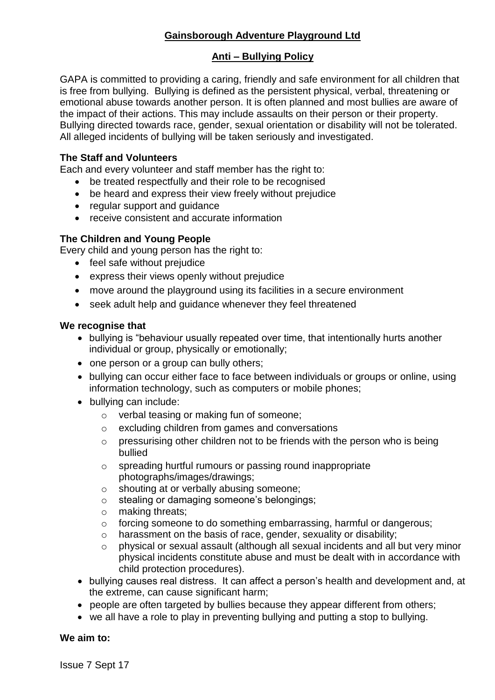# **Gainsborough Adventure Playground Ltd**

### **Anti – Bullying Policy**

GAPA is committed to providing a caring, friendly and safe environment for all children that is free from bullying. Bullying is defined as the persistent physical, verbal, threatening or emotional abuse towards another person. It is often planned and most bullies are aware of the impact of their actions. This may include assaults on their person or their property. Bullying directed towards race, gender, sexual orientation or disability will not be tolerated. All alleged incidents of bullying will be taken seriously and investigated.

### **The Staff and Volunteers**

Each and every volunteer and staff member has the right to:

- be treated respectfully and their role to be recognised
- be heard and express their view freely without prejudice
- regular support and guidance
- receive consistent and accurate information

## **The Children and Young People**

Every child and young person has the right to:

- feel safe without prejudice
- express their views openly without prejudice
- move around the playground using its facilities in a secure environment
- seek adult help and guidance whenever they feel threatened

### **We recognise that**

- bullying is "behaviour usually repeated over time, that intentionally hurts another individual or group, physically or emotionally;
- one person or a group can bully others;
- bullying can occur either face to face between individuals or groups or online, using information technology, such as computers or mobile phones;
- bullying can include:
	- o verbal teasing or making fun of someone;
	- o excluding children from games and conversations
	- o pressurising other children not to be friends with the person who is being bullied
	- o spreading hurtful rumours or passing round inappropriate photographs/images/drawings;
	- o shouting at or verbally abusing someone;
	- o stealing or damaging someone's belongings;
	- o making threats;
	- o forcing someone to do something embarrassing, harmful or dangerous;
	- o harassment on the basis of race, gender, sexuality or disability;
	- o physical or sexual assault (although all sexual incidents and all but very minor physical incidents constitute abuse and must be dealt with in accordance with child protection procedures).
- bullying causes real distress. It can affect a person's health and development and, at the extreme, can cause significant harm;
- people are often targeted by bullies because they appear different from others;
- we all have a role to play in preventing bullying and putting a stop to bullying.

### **We aim to:**